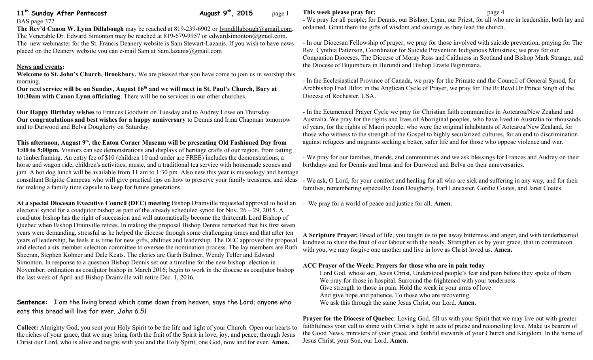# **11<sup>th</sup> Sunday After Pentecost August 9<sup>th</sup>, 2015** page 1

BAS page 372 **The Rev'd Canon W. Lynn Dillabough** may be reached at 819-239-6902 or [lynndillabough@gmail.com.](mailto:lynndillabough@gmail.com) The Venerable Dr. Edward Simonton may be reached at 819-679-9957 or [edwardsimonton@gmail.com.](mailto:edwardsimonton@gmail.com) The new webmaster for the St. Francis Deanery website is Sam Stewart-Lazanis. If you wish to have news placed on the Deanery website you can e-mail Sam at [Sam.lazanis@gmail.com](mailto:Sam.lazanis@gmail.com)

### **News and events:**

**Welcome to St. John's Church, Brookbury.** We are pleased that you have come to join us in worship this morning.

**Our** n**ext service will be on Sunday, August 16th and we will meet in St. Paul's Church, Bury at 10:30am with Canon Lynn officiating**. There will be no services in our other churches.

**Our Happy Birthday wishes** to Frances Goodwin on Tuesday and to Audrey Lowe on Thursday. **Our congratulations and best wishes for a happy anniversary** to Dennis and Irma Chapman tomorrow and to Durwood and Belva Dougherty on Saturday.

**This afternoon, August 9th, the Eaton Corner Museum will be presenting Old Fashioned Day from 1:00 to 5:00pm.** Visitors can see demonstrations and displays of heritage crafts of our region, from tatting to timberframing. An entry fee of \$10 (children 10 and under are FREE) includes the demonstrations, a horse and wagon ride, children's activities, music, and a traditional tea service with homemade scones and jam. A hot dog lunch will be available from 11 am to 1:30 pm. Also new this year is museology and heritage consultant Brigitte Campeau who will give practical tips on how to preserve your family treasures, and ideas - We ask, O Lord, for your comfort and healing for all who are sick and suffering in any way, and for their for making a family time capsule to keep for future generations.

**At a special Diocesan Executive Council (DEC) meeting** Bishop Drainville requested approval to hold an electoral synod for a coadjutor bishop as part of the already scheduled synod for Nov. 26 – 29, 2015. A coadjutor bishop has the right of succession and will automatically become the thirteenth Lord Bishop of Quebec when Bishop Drainville retires. In making the proposal Bishop Dennis remarked that his first seven years were demanding, stressful as he helped the diocese through some challenging times and that after ten years of leadership, he feels it is time for new gifts, abilities and leadership. The DEC approved the proposal and elected a six member selection committee to oversee the nomination process. The lay members are Ruth Sheeran, Stephen Kohner and Dale Keats. The clerics are Garth Bulmer, Wendy Telfer and Edward Simonton. In response to a question Bishop Dennis set out a timeline for the new bishop: election in November; ordination as coadjutor bishop in March 2016; begin to work in the diocese as coadjutor bishop the last week of April and Bishop Drainville will retire Dec. 1, 2016.

# **Sentence:** I am the living bread which came down from heaven, says the Lord; anyone who eats this bread will live for ever. *John 6.51*

**Collect:** Almighty God, you sent your Holy Spirit to be the life and light of your Church. Open our hearts to the riches of your grace, that we may bring forth the fruit of the Spirit in love, joy, and peace; through Jesus Christ our Lord, who is alive and reigns with you and the Holy Spirit, one God, now and for ever. **Amen.**

## **This week please pray for: page 4**

**-** We pray for all people; for Dennis, our Bishop, Lynn, our Priest, for all who are in leadership, both lay and ordained. Grant them the gifts of wisdom and courage as they lead the church.

- In our Diocesan Fellowship of prayer, we pray for those involved with suicide prevention, praying for The Rev. Cynthia Patterson, Coordinator for Suicide Prevention Indigenous Ministries; we pray for our Companion Dioceses, The Diocese of Moray Ross and Caithness in Scotland and Bishop Mark Strange, and the Diocese of Bujumbura in Burundi and Bishop Eraste Bigirimana.

- In the Ecclesiastical Province of Canada, we pray for the Primate and the Council of General Synod, for Archbishop Fred Hiltz; in the Anglican Cycle of Prayer, we pray for The Rt Revd Dr Prince Singh of the Diocese of Rochester, USA.

- In the Ecumenical Prayer Cycle we pray for Christian faith communities in Aotearoa/New Zealand and Australia. We pray for the rights and lives of Aboriginal peoples, who have lived in Australia for thousands of years, for the rights of Maori people, who were the original inhabitants of Aotearoa/New Zealand, for those who witness to the strength of the Gospel to highly secularized cultures, for an end to discrimination against refugees and migrants seeking a better, safer life and for those who oppose violence and war.

- We pray for our families, friends, and communities and we ask blessings for Frances and Audrey on their birthdays and for Dennis and Irma and for Durwood and Belva on their anniversaries.

families, remembering especially: Joan Dougherty, Earl Lancaster, Gordie Coates, and Janet Coates.

- We pray for a world of peace and justice for all. **Amen.**

**A Scripture Prayer:** Bread of life, you taught us to put away bitterness and anger, and with tenderhearted kindness to share the fruit of our labour with the needy. Strengthen us by your grace, that in communion with you, we may forgive one another and live in love as Christ loved us. **Amen.**

# **ACC Prayer of the Week: Prayers for those who are in pain today**

Lord God, whose son, Jesus Christ, Understood people's fear and pain before they spoke of them We pray for those in hospital. Surround the frightened with your tenderness Give strength to those in pain. Hold the weak in your arms of love And give hope and patience, To those who are recovering We ask this through the same Jesus Christ, our Lord. **Amen.**

**Prayer for the Diocese of Quebec**: Loving God, fill us with your Spirit that we may live out with greater faithfulness your call to shine with Christ's light in acts of praise and reconciling love. Make us bearers of the Good News, ministers of your grace, and faithful stewards of your Church and Kingdom. In the name of Jesus Christ, your Son, our Lord. **Amen.**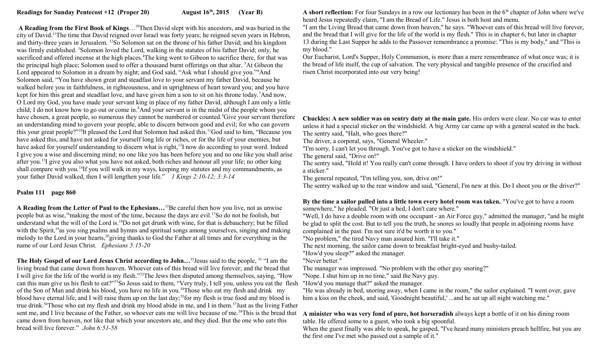**A Reading from the First Book of Kings**…<sup>10</sup>Then David slept with his ancestors, and was buried in the city of David.<sup>11</sup>The time that David reigned over Israel was forty years; he reigned seven years in Hebron, and thirty-three years in Jerusalem. <sup>12</sup>So Solomon sat on the throne of his father David; and his kingdom was firmly established. <sup>3</sup>Solomon loved the Lord, walking in the statutes of his father David; only, he sacrificed and offered incense at the high places.<sup>4</sup>The king went to Gibeon to sacrifice there, for that was the principal high place; Solomon used to offer a thousand burnt offerings on that altar. <sup>5</sup>At Gibeon the Lord appeared to Solomon in a dream by night; and God said, "Ask what I should give you."<sup>6</sup>And Solomon said, "You have shown great and steadfast love to your servant my father David, because he walked before you in faithfulness, in righteousness, and in uprightness of heart toward you; and you have kept for him this great and steadfast love, and have given him a son to sit on his throne today.<sup>7</sup>And now, O Lord my God, you have made your servant king in place of my father David, although I am only a little child; I do not know how to go out or come in.<sup>8</sup>And your servant is in the midst of the people whom you have chosen, a great people, so numerous they cannot be numbered or counted. <sup>9</sup>Give your servant therefore an understanding mind to govern your people, able to discern between good and evil; for who can govern this your great people?"<sup>10</sup>It pleased the Lord that Solomon had asked this.<sup>11</sup>God said to him, "Because you have asked this, and have not asked for yourself long life or riches, or for the life of your enemies, but have asked for yourself understanding to discern what is right,<sup>12</sup>I now do according to your word. Indeed I give you a wise and discerning mind; no one like you has been before you and no one like you shall arise after you.<sup>13</sup>I give you also what you have not asked, both riches and honour all your life; no other king shall compare with you.<sup>14</sup>If you will walk in my ways, keeping my statutes and my commandments, as your father David walked, then I will lengthen your life." *1 Kings 2:10-12; 3:3-14*

#### **Psalm 111 page 860**

**A Reading from the Letter of Paul to the Ephesians…**<sup>15</sup>Be careful then how you live, not as unwise people but as wise,<sup>16</sup>making the most of the time, because the days are evil.<sup>17</sup>So do not be foolish, but understand what the will of the Lord is.<sup>18</sup>Do not get drunk with wine, for that is debauchery; but be filled with the Spirit,<sup>19</sup>as you sing psalms and hymns and spiritual songs among yourselves, singing and making melody to the Lord in your hearts,<sup>20</sup>giving thanks to God the Father at all times and for everything in the name of our Lord Jesus Christ. *Ephesians 5:15-20*

**The Holy Gospel of our Lord Jesus Christ according to John…**<sup>35</sup>Jesus said to the people, <sup>51</sup> "I am the living bread that came down from heaven. Whoever eats of this bread will live forever; and the bread that I will give for the life of the world is my flesh."<sup>52</sup>The Jews then disputed among themselves, saying, "How can this man give us his flesh to eat?"<sup>53</sup>So Jesus said to them, "Very truly, I tell you, unless you eat the flesh "How'd you manage that?" asked the manager. of the Son of Man and drink his blood, you have no life in you.<sup>54</sup>Those who eat my flesh and drink my blood have eternal life, and I will raise them up on the last day;<sup>55</sup>for my flesh is true food and my blood is true drink.<sup>56</sup>Those who eat my flesh and drink my blood abide in me, and I in them.<sup>57</sup>Just as the living Father sent me, and I live because of the Father, so whoever eats me will live because of me.<sup>58</sup>This is the bread that came down from heaven, not like that which your ancestors ate, and they died. But the one who eats this bread will live forever." *John 6:51-58* 

**A short reflection:** For four Sundays in a row our lectionary has been in the 6<sup>th</sup> chapter of John where we've heard Jesus repeatedly claim, "I am the Bread of Life." Jesus is both host and menu.

"I am the Living Bread that came down from heaven," he says. "Whoever eats of this bread will live forever, and the bread that I will give for the life of the world is my flesh." This is in chapter 6, but later in chapter 13 during the Last Supper he adds to the Passover remembrance a promise: "This is my body," and "This is my blood."

Our Eucharist, Lord's Supper, Holy Communion, is more than a mere remembrance of what once was; it is the bread of life itself, the cup of salvation. The very physical and tangible presence of the crucified and risen Christ incorporated into our very being!

**Chuckles: A new soldier was on sentry duty at the main gate.** His orders were clear. No car was to enter unless it had a special sticker on the windshield. A big Army car came up with a general seated in the back. The sentry said, "Halt, who goes there?"

The driver, a corporal, says, "General Wheeler."

"I'm sorry, I can't let you through. You've got to have a sticker on the windshield."

The general said, "Drive on!"

The sentry said, "Hold it! You really can't come through. I have orders to shoot if you try driving in without a sticker."

The general repeated, "I'm telling you, son, drive on!"

The sentry walked up to the rear window and said, "General, I'm new at this. Do I shoot you or the driver?"

#### **By the time a sailor pulled into a little town every hotel room was taken.** "You've got to have a room somewhere," he pleaded. "Or just a bed, I don't care where."

"Well, I do have a double room with one occupant - an Air Force guy," admitted the manager, "and he might be glad to split the cost. But to tell you the truth, he snores so loudly that people in adjoining rooms have complained in the past. I'm not sure it'd be worth it to you."

"No problem," the tired Navy man assured him. "I'll take it."

The next morning, the sailor came down to breakfast bright-eyed and bushy-tailed.

"How'd you sleep?" asked the manager.

"Never better."

The manager was impressed. "No problem with the other guy snoring?"

"Nope. I shut him up in no time," said the Navy guy.

"He was already in bed, snoring away, when I came in the room," the sailor explained. "I went over, gave him a kiss on the cheek, and said, 'Goodnight beautiful,' ...and he sat up all night watching me."

**A minister who was very fond of pure, hot horseradish** always kept a bottle of it on his dining room table. He offered some to a guest, who took a big spoonful.

When the guest finally was able to speak, he gasped, "I've heard many ministers preach hellfire, but you are the first one I've met who passed out a sample of it."